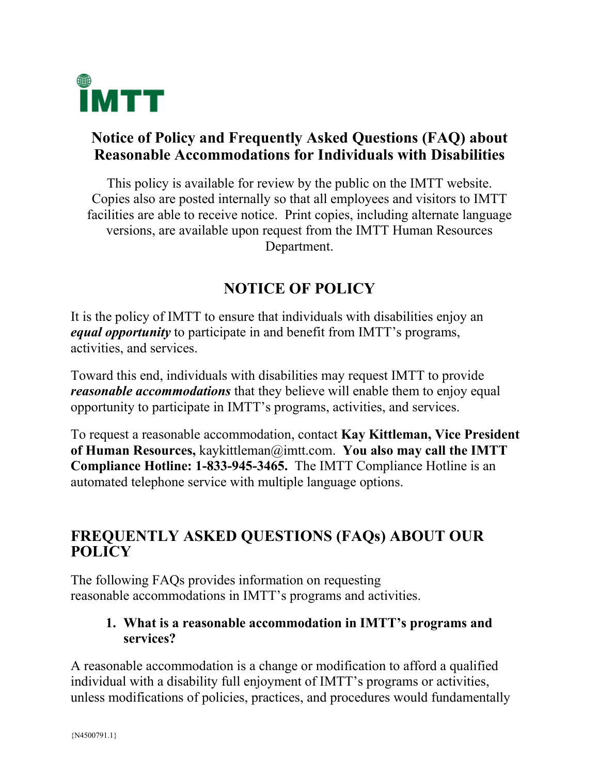

## **Notice of Policy and Frequently Asked Questions (FAQ) about Reasonable Accommodations for Individuals with Disabilities**

This policy is available for review by the public on the IMTT website. Copies also are posted internally so that all employees and visitors to IMTT facilities are able to receive notice. Print copies, including alternate language versions, are available upon request from the IMTT Human Resources Department.

# **NOTICE OF POLICY**

It is the policy of IMTT to ensure that individuals with disabilities enjoy an *equal opportunity* to participate in and benefit from IMTT's programs, activities, and services.

Toward this end, individuals with disabilities may request IMTT to provide *reasonable accommodations* that they believe will enable them to enjoy equal opportunity to participate in IMTT's programs, activities, and services.

To request a reasonable accommodation, contact **Kay Kittleman, Vice President of Human Resources,** kaykittleman@imtt.com. **You also may call the IMTT Compliance Hotline: 1-833-945-3465.** The IMTT Compliance Hotline is an automated telephone service with multiple language options.

## **FREQUENTLY ASKED QUESTIONS (FAQs) ABOUT OUR POLICY**

The following FAQs provides information on requesting reasonable accommodations in IMTT's programs and activities.

#### **1. What is a reasonable accommodation in IMTT's programs and services?**

A reasonable accommodation is a change or modification to afford a qualified individual with a disability full enjoyment of IMTT's programs or activities, unless modifications of policies, practices, and procedures would fundamentally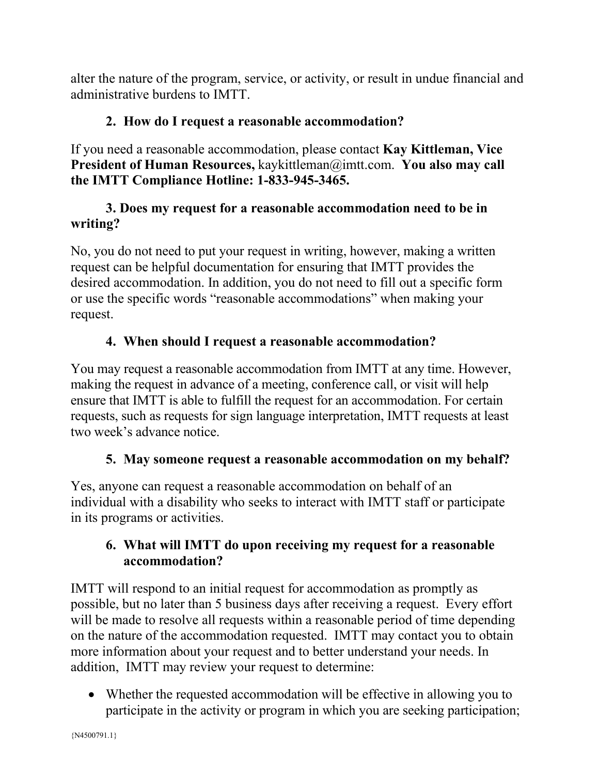alter the nature of the program, service, or activity, or result in undue financial and administrative burdens to IMTT.

#### **2. How do I request a reasonable accommodation?**

If you need a reasonable accommodation, please contact **Kay Kittleman, Vice President of Human Resources,** kaykittleman@imtt.com. **You also may call the IMTT Compliance Hotline: 1-833-945-3465.**

#### **3. Does my request for a reasonable accommodation need to be in writing?**

No, you do not need to put your request in writing, however, making a written request can be helpful documentation for ensuring that IMTT provides the desired accommodation. In addition, you do not need to fill out a specific form or use the specific words "reasonable accommodations" when making your request.

### **4. When should I request a reasonable accommodation?**

You may request a reasonable accommodation from IMTT at any time. However, making the request in advance of a meeting, conference call, or visit will help ensure that IMTT is able to fulfill the request for an accommodation. For certain requests, such as requests for sign language interpretation, IMTT requests at least two week's advance notice.

### **5. May someone request a reasonable accommodation on my behalf?**

Yes, anyone can request a reasonable accommodation on behalf of an individual with a disability who seeks to interact with IMTT staff or participate in its programs or activities.

#### **6. What will IMTT do upon receiving my request for a reasonable accommodation?**

IMTT will respond to an initial request for accommodation as promptly as possible, but no later than 5 business days after receiving a request. Every effort will be made to resolve all requests within a reasonable period of time depending on the nature of the accommodation requested. IMTT may contact you to obtain more information about your request and to better understand your needs. In addition, IMTT may review your request to determine:

• Whether the requested accommodation will be effective in allowing you to participate in the activity or program in which you are seeking participation;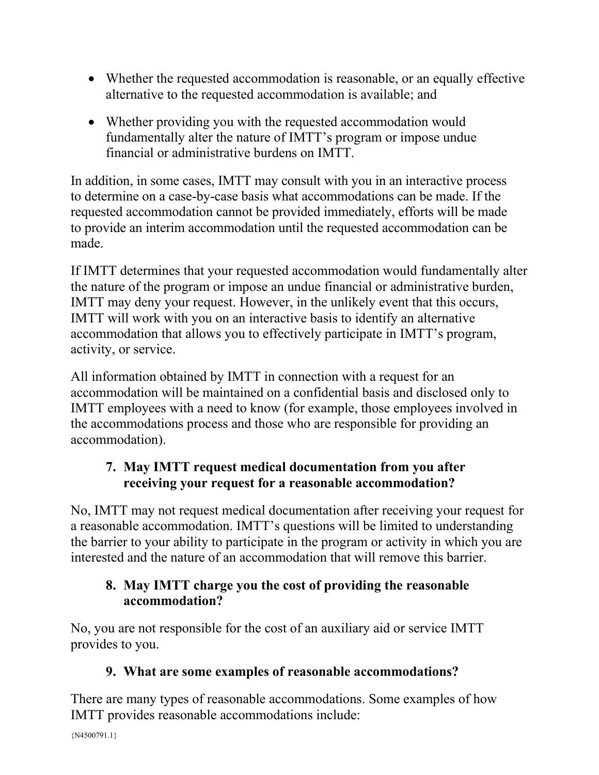- Whether the requested accommodation is reasonable, or an equally effective alternative to the requested accommodation is available; and
- Whether providing you with the requested accommodation would fundamentally alter the nature of IMTT's program or impose undue financial or administrative burdens on IMTT.

In addition, in some cases, IMTT may consult with you in an interactive process to determine on a case-by-case basis what accommodations can be made. If the requested accommodation cannot be provided immediately, efforts will be made to provide an interim accommodation until the requested accommodation can be made.

If IMTT determines that your requested accommodation would fundamentally alter the nature of the program or impose an undue financial or administrative burden, IMTT may deny your request. However, in the unlikely event that this occurs, IMTT will work with you on an interactive basis to identify an alternative accommodation that allows you to effectively participate in IMTT's program, activity, or service.

All information obtained by IMTT in connection with a request for an accommodation will be maintained on a confidential basis and disclosed only to IMTT employees with a need to know (for example, those employees involved in the accommodations process and those who are responsible for providing an accommodation).

### **7. May IMTT request medical documentation from you after receiving your request for a reasonable accommodation?**

No, IMTT may not request medical documentation after receiving your request for a reasonable accommodation. IMTT's questions will be limited to understanding the barrier to your ability to participate in the program or activity in which you are interested and the nature of an accommodation that will remove this barrier.

### **8. May IMTT charge you the cost of providing the reasonable accommodation?**

No, you are not responsible for the cost of an auxiliary aid or service IMTT provides to you.

### **9. What are some examples of reasonable accommodations?**

There are many types of reasonable accommodations. Some examples of how IMTT provides reasonable accommodations include: